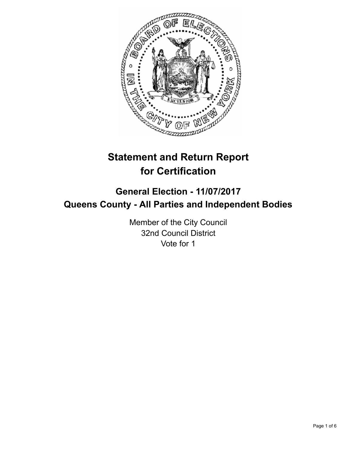

# **Statement and Return Report for Certification**

## **General Election - 11/07/2017 Queens County - All Parties and Independent Bodies**

Member of the City Council 32nd Council District Vote for 1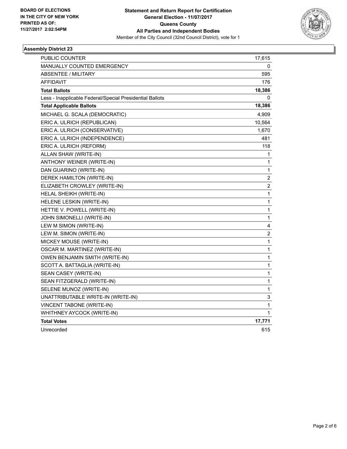

### **Assembly District 23**

| PUBLIC COUNTER                                           | 17,615           |
|----------------------------------------------------------|------------------|
| <b>MANUALLY COUNTED EMERGENCY</b>                        | 0                |
| <b>ABSENTEE / MILITARY</b>                               | 595              |
| AFFIDAVIT                                                | 176              |
| <b>Total Ballots</b>                                     | 18,386           |
| Less - Inapplicable Federal/Special Presidential Ballots | 0                |
| <b>Total Applicable Ballots</b>                          | 18,386           |
| MICHAEL G. SCALA (DEMOCRATIC)                            | 4,909            |
| ERIC A. ULRICH (REPUBLICAN)                              | 10,564           |
| ERIC A. ULRICH (CONSERVATIVE)                            | 1,670            |
| ERIC A. ULRICH (INDEPENDENCE)                            | 481              |
| ERIC A. ULRICH (REFORM)                                  | 118              |
| ALLAN SHAW (WRITE-IN)                                    | 1                |
| ANTHONY WEINER (WRITE-IN)                                | 1                |
| DAN GUARINO (WRITE-IN)                                   | 1                |
| DEREK HAMILTON (WRITE-IN)                                | $\boldsymbol{2}$ |
| ELIZABETH CROWLEY (WRITE-IN)                             | $\boldsymbol{2}$ |
| HELAL SHEIKH (WRITE-IN)                                  | 1                |
| HELENE LESKIN (WRITE-IN)                                 | 1                |
| HETTIE V. POWELL (WRITE-IN)                              | 1                |
| JOHN SIMONELLI (WRITE-IN)                                | 1                |
| LEW M SIMON (WRITE-IN)                                   | 4                |
| LEW M. SIMON (WRITE-IN)                                  | $\boldsymbol{2}$ |
| MICKEY MOUSE (WRITE-IN)                                  | 1                |
| OSCAR M. MARTINEZ (WRITE-IN)                             | 1                |
| OWEN BENJAMIN SMITH (WRITE-IN)                           | 1                |
| SCOTT A. BATTAGLIA (WRITE-IN)                            | 1                |
| SEAN CASEY (WRITE-IN)                                    | 1                |
| SEAN FITZGERALD (WRITE-IN)                               | $\mathbf 1$      |
| SELENE MUNOZ (WRITE-IN)                                  | 1                |
| UNATTRIBUTABLE WRITE-IN (WRITE-IN)                       | 3                |
| VINCENT TABONE (WRITE-IN)                                | 1                |
| WHITHNEY AYCOCK (WRITE-IN)                               | 1                |
| <b>Total Votes</b>                                       | 17,771           |
| Unrecorded                                               | 615              |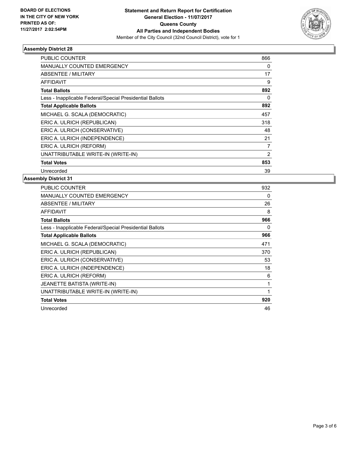

### **Assembly District 28**

| PUBLIC COUNTER                                           | 866            |
|----------------------------------------------------------|----------------|
| <b>MANUALLY COUNTED EMERGENCY</b>                        | 0              |
| ABSENTEE / MILITARY                                      | 17             |
| AFFIDAVIT                                                | 9              |
| <b>Total Ballots</b>                                     | 892            |
| Less - Inapplicable Federal/Special Presidential Ballots | 0              |
| <b>Total Applicable Ballots</b>                          | 892            |
| MICHAEL G. SCALA (DEMOCRATIC)                            | 457            |
| ERIC A. ULRICH (REPUBLICAN)                              | 318            |
| ERIC A. ULRICH (CONSERVATIVE)                            | 48             |
| ERIC A. ULRICH (INDEPENDENCE)                            | 21             |
| ERIC A. ULRICH (REFORM)                                  | 7              |
| UNATTRIBUTABLE WRITE-IN (WRITE-IN)                       | $\overline{2}$ |
| <b>Total Votes</b>                                       | 853            |
| Unrecorded                                               | 39             |

### **Assembly District 31**

| <b>PUBLIC COUNTER</b>                                    | 932 |
|----------------------------------------------------------|-----|
| MANUALLY COUNTED EMERGENCY                               | 0   |
| <b>ABSENTEE / MILITARY</b>                               | 26  |
| AFFIDAVIT                                                | 8   |
| <b>Total Ballots</b>                                     | 966 |
| Less - Inapplicable Federal/Special Presidential Ballots | 0   |
| <b>Total Applicable Ballots</b>                          | 966 |
| MICHAEL G. SCALA (DEMOCRATIC)                            | 471 |
| ERIC A. ULRICH (REPUBLICAN)                              | 370 |
| ERIC A. ULRICH (CONSERVATIVE)                            | 53  |
| ERIC A. ULRICH (INDEPENDENCE)                            | 18  |
| ERIC A. ULRICH (REFORM)                                  | 6   |
| JEANETTE BATISTA (WRITE-IN)                              | 1   |
| UNATTRIBUTABLE WRITE-IN (WRITE-IN)                       | 1   |
| <b>Total Votes</b>                                       | 920 |
| Unrecorded                                               | 46  |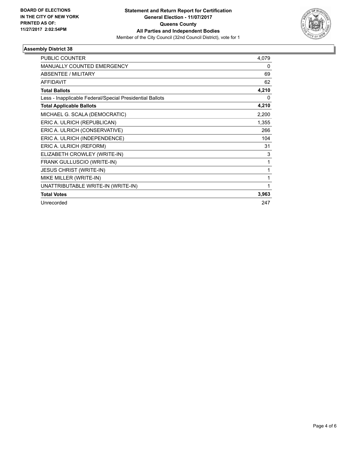

### **Assembly District 38**

| <b>PUBLIC COUNTER</b>                                    | 4,079        |
|----------------------------------------------------------|--------------|
| <b>MANUALLY COUNTED EMERGENCY</b>                        | 0            |
| <b>ABSENTEE / MILITARY</b>                               | 69           |
| <b>AFFIDAVIT</b>                                         | 62           |
| <b>Total Ballots</b>                                     | 4,210        |
| Less - Inapplicable Federal/Special Presidential Ballots | 0            |
| <b>Total Applicable Ballots</b>                          | 4,210        |
| MICHAEL G. SCALA (DEMOCRATIC)                            | 2,200        |
| ERIC A. ULRICH (REPUBLICAN)                              | 1,355        |
| ERIC A. ULRICH (CONSERVATIVE)                            | 266          |
| ERIC A. ULRICH (INDEPENDENCE)                            | 104          |
| ERIC A. ULRICH (REFORM)                                  | 31           |
| ELIZABETH CROWLEY (WRITE-IN)                             | 3            |
| FRANK GULLUSCIO (WRITE-IN)                               | 1            |
| <b>JESUS CHRIST (WRITE-IN)</b>                           | 1            |
| MIKE MILLER (WRITE-IN)                                   | 1            |
| UNATTRIBUTABLE WRITE-IN (WRITE-IN)                       | $\mathbf{1}$ |
| <b>Total Votes</b>                                       | 3,963        |
| Unrecorded                                               | 247          |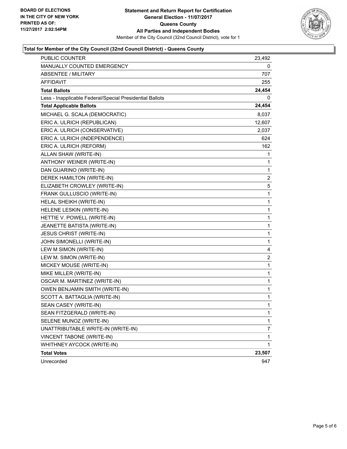

### **Total for Member of the City Council (32nd Council District) - Queens County**

| <b>PUBLIC COUNTER</b>                                    | 23,492         |
|----------------------------------------------------------|----------------|
| MANUALLY COUNTED EMERGENCY                               | 0              |
| <b>ABSENTEE / MILITARY</b>                               | 707            |
| <b>AFFIDAVIT</b>                                         | 255            |
| <b>Total Ballots</b>                                     | 24,454         |
| Less - Inapplicable Federal/Special Presidential Ballots | 0              |
| <b>Total Applicable Ballots</b>                          | 24,454         |
| MICHAEL G. SCALA (DEMOCRATIC)                            | 8,037          |
| ERIC A. ULRICH (REPUBLICAN)                              | 12,607         |
| ERIC A. ULRICH (CONSERVATIVE)                            | 2,037          |
| ERIC A. ULRICH (INDEPENDENCE)                            | 624            |
| ERIC A. ULRICH (REFORM)                                  | 162            |
| ALLAN SHAW (WRITE-IN)                                    | 1              |
| ANTHONY WEINER (WRITE-IN)                                | 1              |
| DAN GUARINO (WRITE-IN)                                   | 1              |
| DEREK HAMILTON (WRITE-IN)                                | 2              |
| ELIZABETH CROWLEY (WRITE-IN)                             | 5              |
| FRANK GULLUSCIO (WRITE-IN)                               | 1              |
| HELAL SHEIKH (WRITE-IN)                                  | 1              |
| HELENE LESKIN (WRITE-IN)                                 | 1              |
| HETTIE V. POWELL (WRITE-IN)                              | 1              |
| JEANETTE BATISTA (WRITE-IN)                              | 1              |
| <b>JESUS CHRIST (WRITE-IN)</b>                           | 1              |
| JOHN SIMONELLI (WRITE-IN)                                | 1              |
| LEW M SIMON (WRITE-IN)                                   | 4              |
| LEW M. SIMON (WRITE-IN)                                  | $\overline{c}$ |
| MICKEY MOUSE (WRITE-IN)                                  | 1              |
| MIKE MILLER (WRITE-IN)                                   | 1              |
| OSCAR M. MARTINEZ (WRITE-IN)                             | 1              |
| OWEN BENJAMIN SMITH (WRITE-IN)                           | 1              |
| SCOTT A. BATTAGLIA (WRITE-IN)                            | 1              |
| SEAN CASEY (WRITE-IN)                                    | 1              |
| SEAN FITZGERALD (WRITE-IN)                               | 1              |
| SELENE MUNOZ (WRITE-IN)                                  | 1              |
| UNATTRIBUTABLE WRITE-IN (WRITE-IN)                       | 7              |
| <b>VINCENT TABONE (WRITE-IN)</b>                         | 1              |
| WHITHNEY AYCOCK (WRITE-IN)                               | 1              |
| <b>Total Votes</b>                                       | 23,507         |
| Unrecorded                                               | 947            |